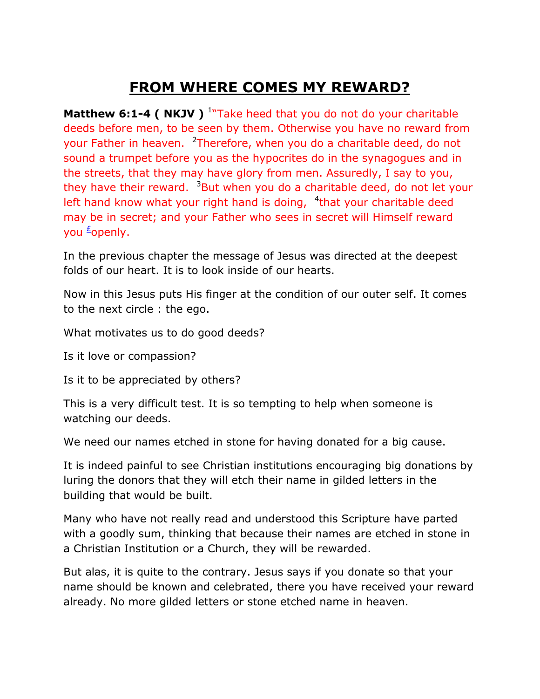## **FROM WHERE COMES MY REWARD?**

**Matthew 6:1-4 ( NKJV )** <sup>1</sup>"Take heed that you do not do your charitable deeds before men, to be seen by them. Otherwise you have no reward from your Father in heaven. <sup>2</sup>Therefore, when you do a charitable deed, do not sound a trumpet before you as the hypocrites do in the synagogues and in the streets, that they may have glory from men. Assuredly, I say to you, they have their reward.  $3But$  when you do a charitable deed, do not let your left hand know what your right hand is doing, <sup>4</sup>that your charitable deed may be in secret; and your Father who sees in secret will Himself reward you <sup>[£](qv://steplinkto1%200000034120/)</sup>openly.

In the previous chapter the message of Jesus was directed at the deepest folds of our heart. It is to look inside of our hearts.

Now in this Jesus puts His finger at the condition of our outer self. It comes to the next circle : the ego.

What motivates us to do good deeds?

Is it love or compassion?

Is it to be appreciated by others?

This is a very difficult test. It is so tempting to help when someone is watching our deeds.

We need our names etched in stone for having donated for a big cause.

It is indeed painful to see Christian institutions encouraging big donations by luring the donors that they will etch their name in gilded letters in the building that would be built.

Many who have not really read and understood this Scripture have parted with a goodly sum, thinking that because their names are etched in stone in a Christian Institution or a Church, they will be rewarded.

But alas, it is quite to the contrary. Jesus says if you donate so that your name should be known and celebrated, there you have received your reward already. No more gilded letters or stone etched name in heaven.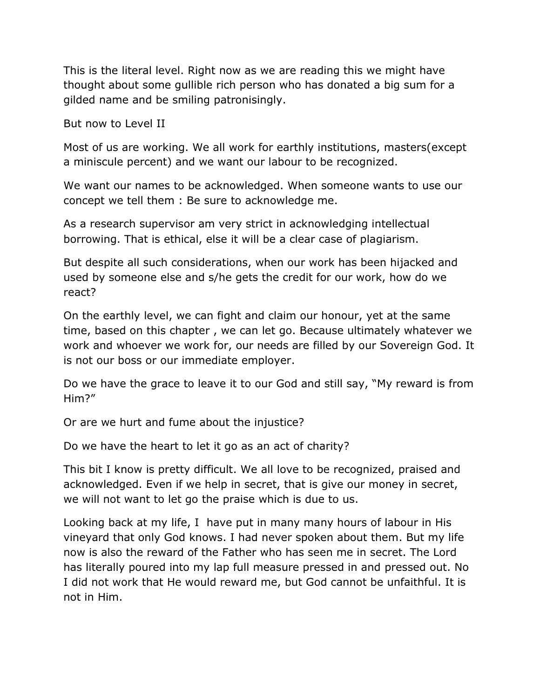This is the literal level. Right now as we are reading this we might have thought about some gullible rich person who has donated a big sum for a gilded name and be smiling patronisingly.

But now to Level II

Most of us are working. We all work for earthly institutions, masters(except a miniscule percent) and we want our labour to be recognized.

We want our names to be acknowledged. When someone wants to use our concept we tell them : Be sure to acknowledge me.

As a research supervisor am very strict in acknowledging intellectual borrowing. That is ethical, else it will be a clear case of plagiarism.

But despite all such considerations, when our work has been hijacked and used by someone else and s/he gets the credit for our work, how do we react?

On the earthly level, we can fight and claim our honour, yet at the same time, based on this chapter , we can let go. Because ultimately whatever we work and whoever we work for, our needs are filled by our Sovereign God. It is not our boss or our immediate employer.

Do we have the grace to leave it to our God and still say, "My reward is from Him?"

Or are we hurt and fume about the injustice?

Do we have the heart to let it go as an act of charity?

This bit I know is pretty difficult. We all love to be recognized, praised and acknowledged. Even if we help in secret, that is give our money in secret, we will not want to let go the praise which is due to us.

Looking back at my life, I have put in many many hours of labour in His vineyard that only God knows. I had never spoken about them. But my life now is also the reward of the Father who has seen me in secret. The Lord has literally poured into my lap full measure pressed in and pressed out. No I did not work that He would reward me, but God cannot be unfaithful. It is not in Him.